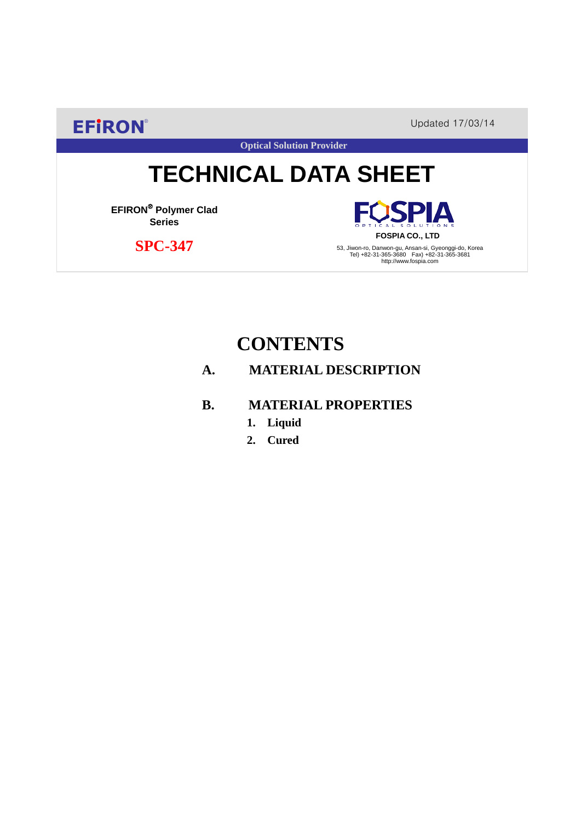**EFIRON®** Updated 17/03/14

**Optical Solution Provider**

# **TECHNICAL DATA SHEET**

**EFIRON**® **Polymer Clad Series**

 **SPC-347**

SPIA **FOSPIA CO., LTD**

53, Jiwon-ro, Danwon-gu, Ansan-si, Gyeonggi-do, Korea Tel) +82-31-365-3680 Fax) +82-31-365-3681 http://www.fospia.com

# **CONTENTS**

### **A. MATERIAL DESCRIPTION**

### **B. MATERIAL PROPERTIES**

- **1. Liquid**
- **2. Cured**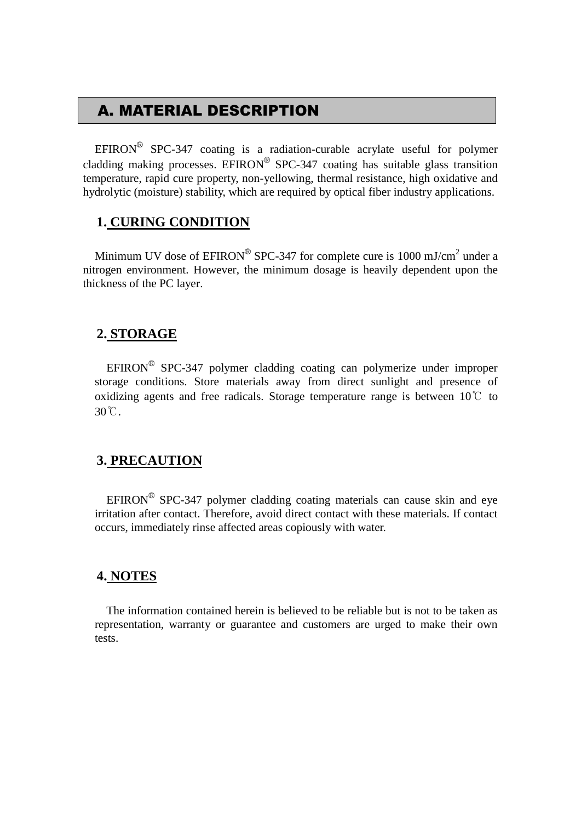### A. MATERIAL DESCRIPTION

EFIRON<sup>®</sup> SPC-347 coating is a radiation-curable acrylate useful for polymer cladding making processes. EFIRON<sup>®</sup> SPC-347 coating has suitable glass transition temperature, rapid cure property, non-yellowing, thermal resistance, high oxidative and hydrolytic (moisture) stability, which are required by optical fiber industry applications.

#### **1. CURING CONDITION**

Minimum UV dose of  $EPIRON^{\circledR}$  SPC-347 for complete cure is 1000 mJ/cm<sup>2</sup> under a nitrogen environment. However, the minimum dosage is heavily dependent upon the thickness of the PC layer.

#### **2. STORAGE**

EFIRON® SPC-347 polymer cladding coating can polymerize under improper storage conditions. Store materials away from direct sunlight and presence of oxidizing agents and free radicals. Storage temperature range is between  $10^{\circ}$  to 30℃.

#### **3. PRECAUTION**

 $EFINON^{\circledR}$  SPC-347 polymer cladding coating materials can cause skin and eye irritation after contact. Therefore, avoid direct contact with these materials. If contact occurs, immediately rinse affected areas copiously with water.

#### **4. NOTES**

The information contained herein is believed to be reliable but is not to be taken as representation, warranty or guarantee and customers are urged to make their own tests.